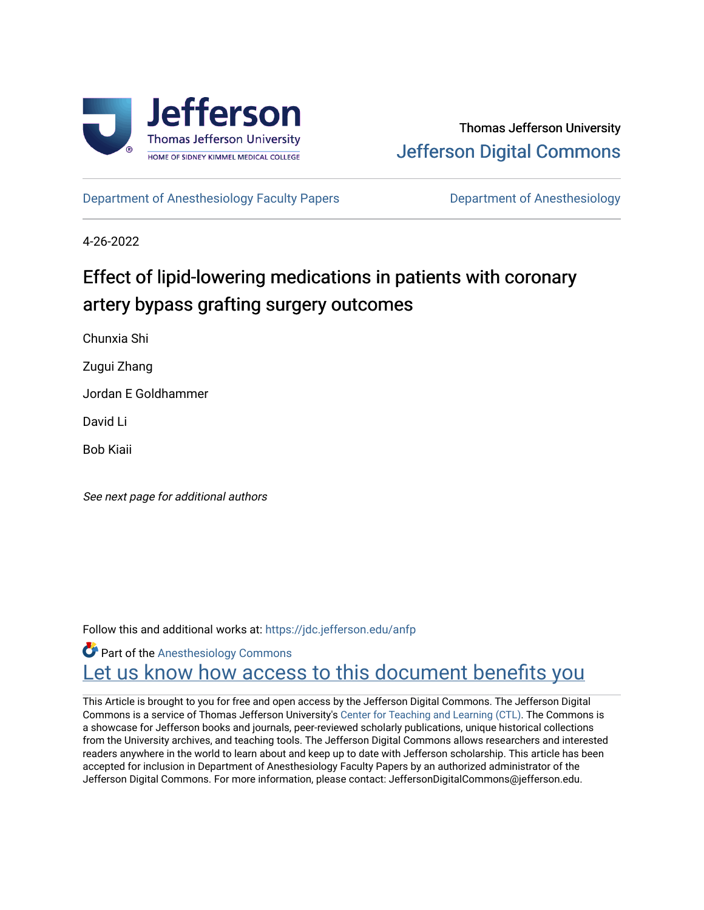

[Department of Anesthesiology Faculty Papers](https://jdc.jefferson.edu/anfp) **Department of Anesthesiology** 

4-26-2022

# Effect of lipid-lowering medications in patients with coronary artery bypass grafting surgery outcomes

Chunxia Shi

Zugui Zhang

Jordan E Goldhammer

David Li

Bob Kiaii

See next page for additional authors

Follow this and additional works at: [https://jdc.jefferson.edu/anfp](https://jdc.jefferson.edu/anfp?utm_source=jdc.jefferson.edu%2Fanfp%2F80&utm_medium=PDF&utm_campaign=PDFCoverPages) 

**Part of the [Anesthesiology Commons](https://network.bepress.com/hgg/discipline/682?utm_source=jdc.jefferson.edu%2Fanfp%2F80&utm_medium=PDF&utm_campaign=PDFCoverPages)** Let us know how access to this document benefits you

This Article is brought to you for free and open access by the Jefferson Digital Commons. The Jefferson Digital Commons is a service of Thomas Jefferson University's [Center for Teaching and Learning \(CTL\)](http://www.jefferson.edu/university/teaching-learning.html/). The Commons is a showcase for Jefferson books and journals, peer-reviewed scholarly publications, unique historical collections from the University archives, and teaching tools. The Jefferson Digital Commons allows researchers and interested readers anywhere in the world to learn about and keep up to date with Jefferson scholarship. This article has been accepted for inclusion in Department of Anesthesiology Faculty Papers by an authorized administrator of the Jefferson Digital Commons. For more information, please contact: JeffersonDigitalCommons@jefferson.edu.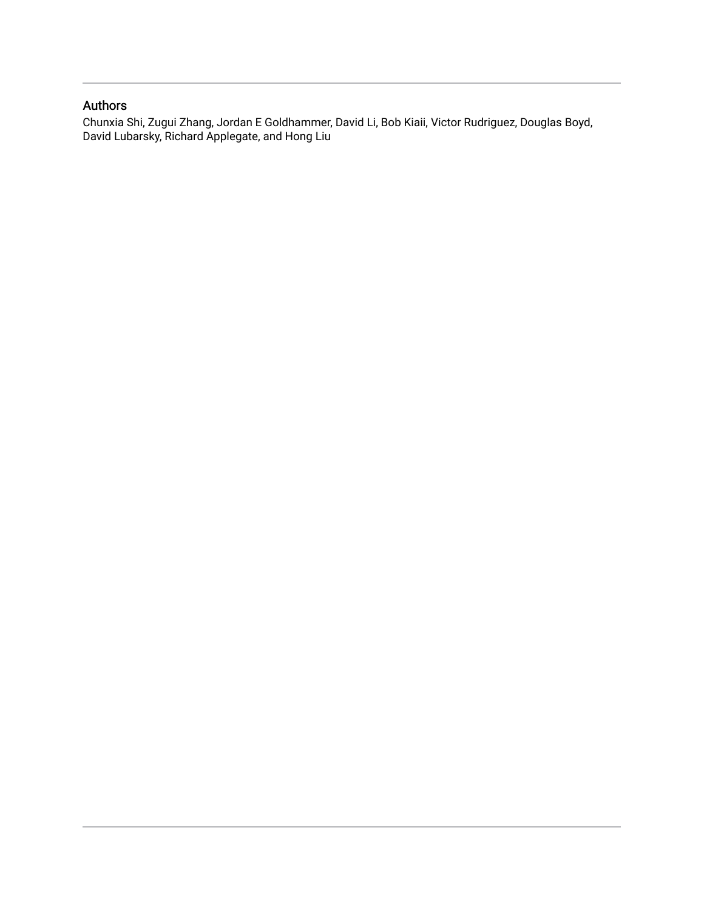## Authors

Chunxia Shi, Zugui Zhang, Jordan E Goldhammer, David Li, Bob Kiaii, Victor Rudriguez, Douglas Boyd, David Lubarsky, Richard Applegate, and Hong Liu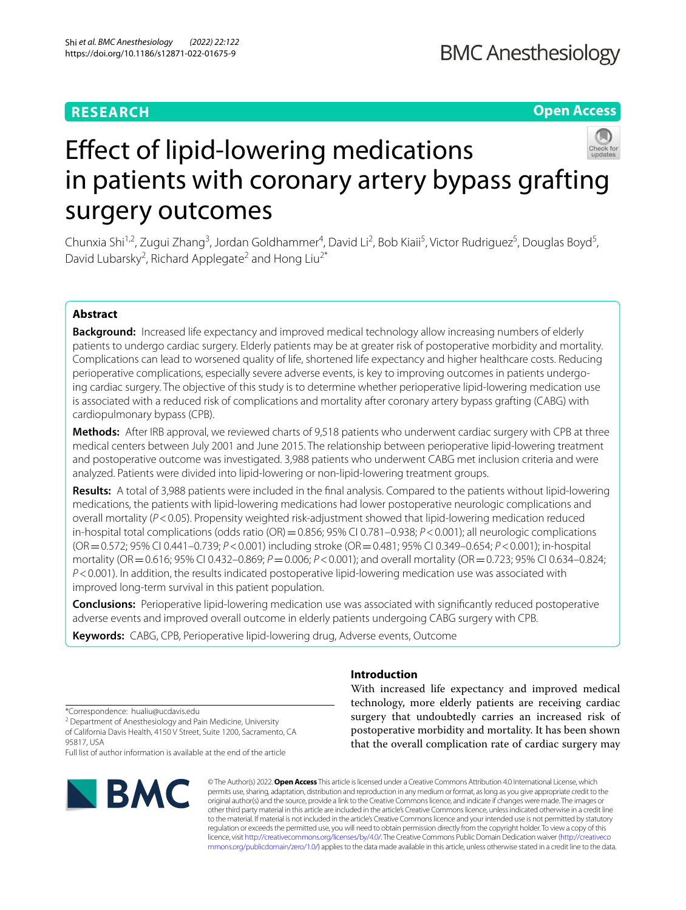## **RESEARCH**

**Open Access**

# Efect of lipid-lowering medications in patients with coronary artery bypass grafting surgery outcomes

Chunxia Shi<sup>1,2</sup>, Zugui Zhang<sup>3</sup>, Jordan Goldhammer<sup>4</sup>, David Li<sup>2</sup>, Bob Kiaii<sup>5</sup>, Victor Rudriguez<sup>5</sup>, Douglas Boyd<sup>5</sup>, David Lubarsky<sup>2</sup>, Richard Applegate<sup>2</sup> and Hong Liu<sup>2\*</sup>

## **Abstract**

**Background:** Increased life expectancy and improved medical technology allow increasing numbers of elderly patients to undergo cardiac surgery. Elderly patients may be at greater risk of postoperative morbidity and mortality. Complications can lead to worsened quality of life, shortened life expectancy and higher healthcare costs. Reducing perioperative complications, especially severe adverse events, is key to improving outcomes in patients undergoing cardiac surgery. The objective of this study is to determine whether perioperative lipid-lowering medication use is associated with a reduced risk of complications and mortality after coronary artery bypass grafting (CABG) with cardiopulmonary bypass (CPB).

**Methods:** After IRB approval, we reviewed charts of 9,518 patients who underwent cardiac surgery with CPB at three medical centers between July 2001 and June 2015. The relationship between perioperative lipid-lowering treatment and postoperative outcome was investigated. 3,988 patients who underwent CABG met inclusion criteria and were analyzed. Patients were divided into lipid-lowering or non-lipid-lowering treatment groups.

**Results:** A total of 3,988 patients were included in the fnal analysis. Compared to the patients without lipid-lowering medications, the patients with lipid-lowering medications had lower postoperative neurologic complications and overall mortality (*P*<0.05). Propensity weighted risk-adjustment showed that lipid-lowering medication reduced in-hospital total complications (odds ratio (OR) =  $0.856$ ; 95% CI 0.781–0.938;  $P < 0.001$ ); all neurologic complications (OR=0.572; 95% CI 0.441–0.739; *P*<0.001) including stroke (OR=0.481; 95% CI 0.349–0.654; *P*<0.001); in-hospital mortality (OR=0.616; 95% CI 0.432–0.869; *P*=0.006; *P*<0.001); and overall mortality (OR=0.723; 95% CI 0.634–0.824; *P*<0.001). In addition, the results indicated postoperative lipid-lowering medication use was associated with improved long-term survival in this patient population.

**Conclusions:** Perioperative lipid-lowering medication use was associated with signifcantly reduced postoperative adverse events and improved overall outcome in elderly patients undergoing CABG surgery with CPB.

**Keywords:** CABG, CPB, Perioperative lipid-lowering drug, Adverse events, Outcome

## **Introduction**

With increased life expectancy and improved medical technology, more elderly patients are receiving cardiac surgery that undoubtedly carries an increased risk of postoperative morbidity and mortality. It has been shown that the overall complication rate of cardiac surgery may

\*Correspondence: hualiu@ucdavis.edu

<sup>2</sup> Department of Anesthesiology and Pain Medicine, University of California Davis Health, 4150 V Street, Suite 1200, Sacramento, CA 95817, USA

Full list of author information is available at the end of the article



© The Author(s) 2022. **Open Access** This article is licensed under a Creative Commons Attribution 4.0 International License, which permits use, sharing, adaptation, distribution and reproduction in any medium or format, as long as you give appropriate credit to the original author(s) and the source, provide a link to the Creative Commons licence, and indicate if changes were made. The images or other third party material in this article are included in the article's Creative Commons licence, unless indicated otherwise in a credit line to the material. If material is not included in the article's Creative Commons licence and your intended use is not permitted by statutory regulation or exceeds the permitted use, you will need to obtain permission directly from the copyright holder. To view a copy of this licence, visit [http://creativecommons.org/licenses/by/4.0/.](http://creativecommons.org/licenses/by/4.0/) The Creative Commons Public Domain Dedication waiver ([http://creativeco](http://creativecommons.org/publicdomain/zero/1.0/) [mmons.org/publicdomain/zero/1.0/](http://creativecommons.org/publicdomain/zero/1.0/)) applies to the data made available in this article, unless otherwise stated in a credit line to the data.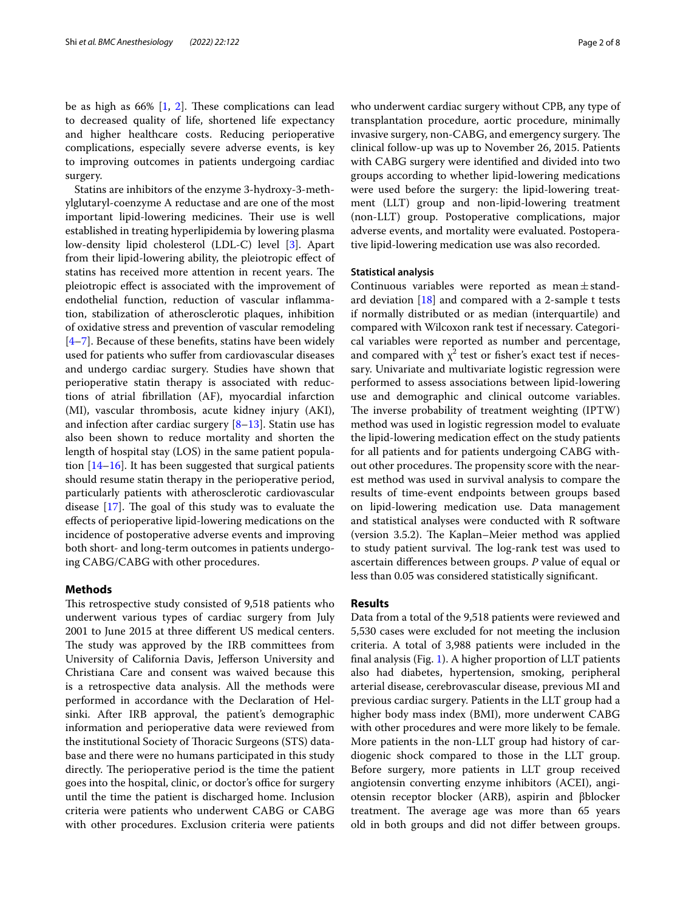be as high as  $66\%$  [[1,](#page-8-0) [2](#page-8-1)]. These complications can lead to decreased quality of life, shortened life expectancy and higher healthcare costs. Reducing perioperative complications, especially severe adverse events, is key to improving outcomes in patients undergoing cardiac surgery.

Statins are inhibitors of the enzyme 3-hydroxy-3-methylglutaryl-coenzyme A reductase and are one of the most important lipid-lowering medicines. Their use is well established in treating hyperlipidemia by lowering plasma low-density lipid cholesterol (LDL-C) level [\[3](#page-8-2)]. Apart from their lipid-lowering ability, the pleiotropic efect of statins has received more attention in recent years. The pleiotropic efect is associated with the improvement of endothelial function, reduction of vascular infammation, stabilization of atherosclerotic plaques, inhibition of oxidative stress and prevention of vascular remodeling  $[4–7]$  $[4–7]$  $[4–7]$ . Because of these benefits, statins have been widely used for patients who suffer from cardiovascular diseases and undergo cardiac surgery. Studies have shown that perioperative statin therapy is associated with reductions of atrial fbrillation (AF), myocardial infarction (MI), vascular thrombosis, acute kidney injury (AKI), and infection after cardiac surgery  $[8-13]$  $[8-13]$  $[8-13]$ . Statin use has also been shown to reduce mortality and shorten the length of hospital stay (LOS) in the same patient population [\[14](#page-8-7)–[16\]](#page-9-0). It has been suggested that surgical patients should resume statin therapy in the perioperative period, particularly patients with atherosclerotic cardiovascular disease  $[17]$  $[17]$ . The goal of this study was to evaluate the efects of perioperative lipid-lowering medications on the incidence of postoperative adverse events and improving both short- and long-term outcomes in patients undergoing CABG/CABG with other procedures.

## **Methods**

This retrospective study consisted of 9,518 patients who underwent various types of cardiac surgery from July 2001 to June 2015 at three diferent US medical centers. The study was approved by the IRB committees from University of California Davis, Jeferson University and Christiana Care and consent was waived because this is a retrospective data analysis. All the methods were performed in accordance with the Declaration of Helsinki. After IRB approval, the patient's demographic information and perioperative data were reviewed from the institutional Society of Thoracic Surgeons (STS) database and there were no humans participated in this study directly. The perioperative period is the time the patient goes into the hospital, clinic, or doctor's office for surgery until the time the patient is discharged home. Inclusion criteria were patients who underwent CABG or CABG with other procedures. Exclusion criteria were patients who underwent cardiac surgery without CPB, any type of transplantation procedure, aortic procedure, minimally invasive surgery, non-CABG, and emergency surgery. The clinical follow-up was up to November 26, 2015. Patients with CABG surgery were identifed and divided into two groups according to whether lipid-lowering medications were used before the surgery: the lipid-lowering treatment (LLT) group and non-lipid-lowering treatment (non-LLT) group. Postoperative complications, major adverse events, and mortality were evaluated. Postoperative lipid-lowering medication use was also recorded.

#### **Statistical analysis**

Continuous variables were reported as mean $\pm$ standard deviation [[18\]](#page-9-2) and compared with a 2-sample t tests if normally distributed or as median (interquartile) and compared with Wilcoxon rank test if necessary. Categorical variables were reported as number and percentage, and compared with  $\chi^2$  test or fisher's exact test if necessary. Univariate and multivariate logistic regression were performed to assess associations between lipid-lowering use and demographic and clinical outcome variables. The inverse probability of treatment weighting (IPTW) method was used in logistic regression model to evaluate the lipid-lowering medication efect on the study patients for all patients and for patients undergoing CABG without other procedures. The propensity score with the nearest method was used in survival analysis to compare the results of time-event endpoints between groups based on lipid-lowering medication use. Data management and statistical analyses were conducted with R software (version 3.5.2). The Kaplan–Meier method was applied to study patient survival. The log-rank test was used to ascertain diferences between groups. *P* value of equal or less than 0.05 was considered statistically signifcant.

#### **Results**

Data from a total of the 9,518 patients were reviewed and 5,530 cases were excluded for not meeting the inclusion criteria. A total of 3,988 patients were included in the fnal analysis (Fig. [1\)](#page-4-0). A higher proportion of LLT patients also had diabetes, hypertension, smoking, peripheral arterial disease, cerebrovascular disease, previous MI and previous cardiac surgery. Patients in the LLT group had a higher body mass index (BMI), more underwent CABG with other procedures and were more likely to be female. More patients in the non-LLT group had history of cardiogenic shock compared to those in the LLT group. Before surgery, more patients in LLT group received angiotensin converting enzyme inhibitors (ACEI), angiotensin receptor blocker (ARB), aspirin and βblocker treatment. The average age was more than 65 years old in both groups and did not difer between groups.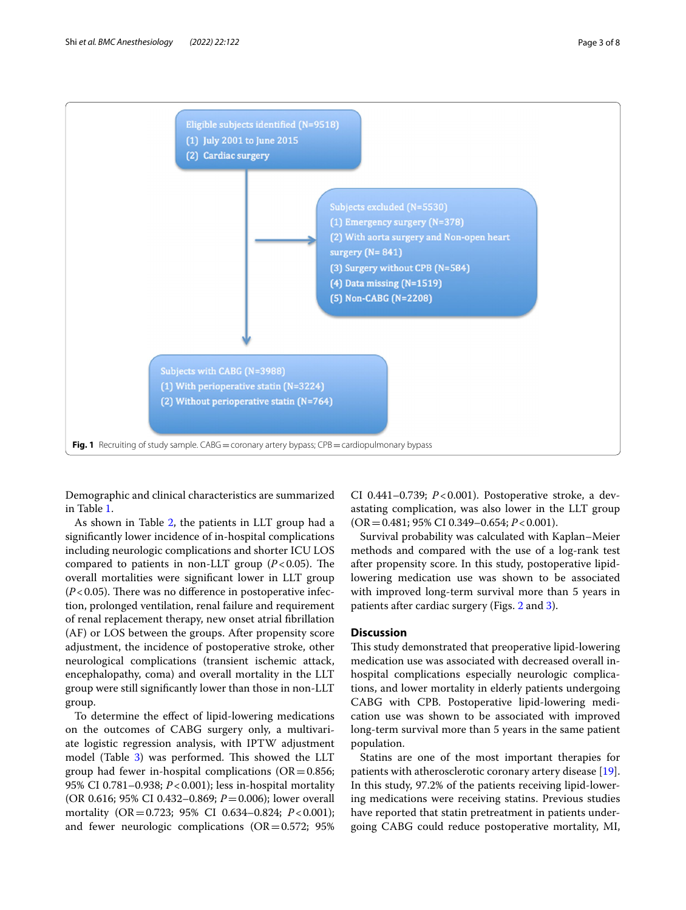

<span id="page-4-0"></span>Demographic and clinical characteristics are summarized in Table [1](#page-5-0).

As shown in Table [2,](#page-5-1) the patients in LLT group had a signifcantly lower incidence of in-hospital complications including neurologic complications and shorter ICU LOS compared to patients in non-LLT group  $(P<0.05)$ . The overall mortalities were signifcant lower in LLT group  $(P<0.05)$ . There was no difference in postoperative infection, prolonged ventilation, renal failure and requirement of renal replacement therapy, new onset atrial fbrillation (AF) or LOS between the groups. After propensity score adjustment, the incidence of postoperative stroke, other neurological complications (transient ischemic attack, encephalopathy, coma) and overall mortality in the LLT group were still signifcantly lower than those in non-LLT group.

To determine the efect of lipid-lowering medications on the outcomes of CABG surgery only, a multivariate logistic regression analysis, with IPTW adjustment model (Table [3\)](#page-6-0) was performed. This showed the LLT group had fewer in-hospital complications ( $OR = 0.856$ ; 95% CI 0.781–0.938; *P*<0.001); less in-hospital mortality (OR 0.616; 95% CI 0.432–0.869; *P*=0.006); lower overall mortality (OR=0.723; 95% CI 0.634–0.824; *P*<0.001); and fewer neurologic complications  $(OR = 0.572; 95\%)$  CI 0.441–0.739; *P*<0.001). Postoperative stroke, a devastating complication, was also lower in the LLT group (OR=0.481; 95% CI 0.349–0.654; *P*<0.001).

Survival probability was calculated with Kaplan–Meier methods and compared with the use of a log-rank test after propensity score. In this study, postoperative lipidlowering medication use was shown to be associated with improved long-term survival more than 5 years in patients after cardiac surgery (Figs. [2](#page-6-1) and [3](#page-7-0)).

### **Discussion**

This study demonstrated that preoperative lipid-lowering medication use was associated with decreased overall inhospital complications especially neurologic complications, and lower mortality in elderly patients undergoing CABG with CPB. Postoperative lipid-lowering medication use was shown to be associated with improved long-term survival more than 5 years in the same patient population.

Statins are one of the most important therapies for patients with atherosclerotic coronary artery disease [\[19](#page-9-3)]. In this study, 97.2% of the patients receiving lipid-lowering medications were receiving statins. Previous studies have reported that statin pretreatment in patients undergoing CABG could reduce postoperative mortality, MI,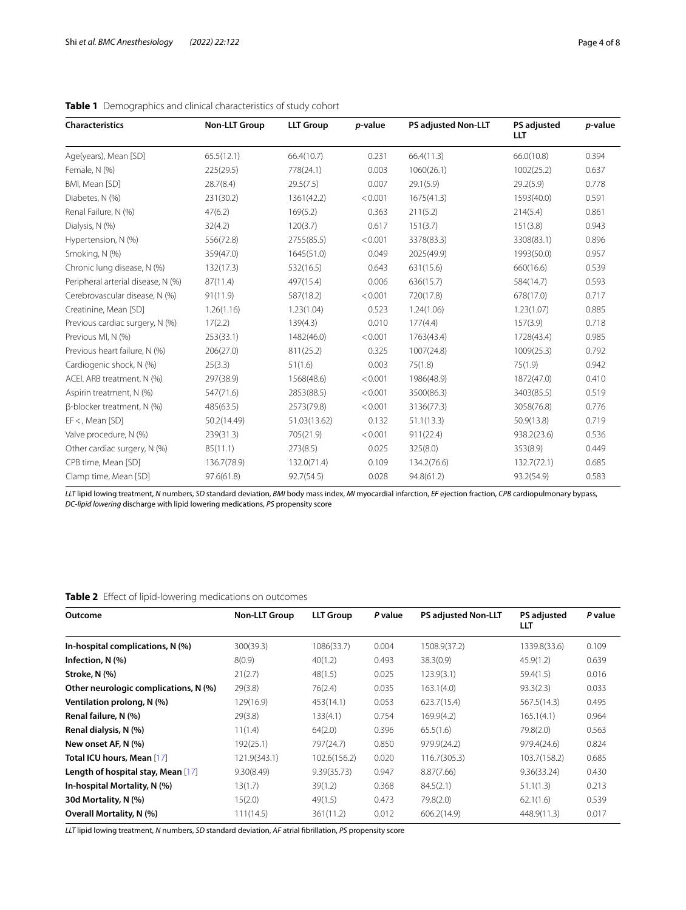| <b>Characteristics</b>             | <b>Non-LLT Group</b> | <b>LLT Group</b> | p-value | <b>PS adjusted Non-LLT</b> | <b>PS adjusted</b><br>LLT | <i>p</i> -value |
|------------------------------------|----------------------|------------------|---------|----------------------------|---------------------------|-----------------|
| Age(years), Mean [SD]              | 65.5(12.1)           | 66.4(10.7)       | 0.231   | 66.4(11.3)                 | 66.0(10.8)                | 0.394           |
| Female, N (%)                      | 225(29.5)            | 778(24.1)        | 0.003   | 1060(26.1)                 | 1002(25.2)                | 0.637           |
| BMI, Mean [SD]                     | 28.7(8.4)            | 29.5(7.5)        | 0.007   | 29.1(5.9)                  | 29.2(5.9)                 | 0.778           |
| Diabetes, N (%)                    | 231(30.2)            | 1361(42.2)       | < 0.001 | 1675(41.3)                 | 1593(40.0)                | 0.591           |
| Renal Failure, N (%)               | 47(6.2)              | 169(5.2)         | 0.363   | 211(5.2)                   | 214(5.4)                  | 0.861           |
| Dialysis, N (%)                    | 32(4.2)              | 120(3.7)         | 0.617   | 151(3.7)                   | 151(3.8)                  | 0.943           |
| Hypertension, N (%)                | 556(72.8)            | 2755(85.5)       | < 0.001 | 3378(83.3)                 | 3308(83.1)                | 0.896           |
| Smoking, N (%)                     | 359(47.0)            | 1645(51.0)       | 0.049   | 2025(49.9)                 | 1993(50.0)                | 0.957           |
| Chronic lung disease, N (%)        | 132(17.3)            | 532(16.5)        | 0.643   | 631(15.6)                  | 660(16.6)                 | 0.539           |
| Peripheral arterial disease, N (%) | 87(11.4)             | 497(15.4)        | 0.006   | 636(15.7)                  | 584(14.7)                 | 0.593           |
| Cerebrovascular disease, N (%)     | 91(11.9)             | 587(18.2)        | < 0.001 | 720(17.8)                  | 678(17.0)                 | 0.717           |
| Creatinine, Mean [SD]              | 1.26(1.16)           | 1.23(1.04)       | 0.523   | 1.24(1.06)                 | 1.23(1.07)                | 0.885           |
| Previous cardiac surgery, N (%)    | 17(2.2)              | 139(4.3)         | 0.010   | 177(4.4)                   | 157(3.9)                  | 0.718           |
| Previous MI, N (%)                 | 253(33.1)            | 1482(46.0)       | < 0.001 | 1763(43.4)                 | 1728(43.4)                | 0.985           |
| Previous heart failure, N (%)      | 206(27.0)            | 811(25.2)        | 0.325   | 1007(24.8)                 | 1009(25.3)                | 0.792           |
| Cardiogenic shock, N (%)           | 25(3.3)              | 51(1.6)          | 0.003   | 75(1.8)                    | 75(1.9)                   | 0.942           |
| ACEI. ARB treatment, N (%)         | 297(38.9)            | 1568(48.6)       | < 0.001 | 1986(48.9)                 | 1872(47.0)                | 0.410           |
| Aspirin treatment, N (%)           | 547(71.6)            | 2853(88.5)       | < 0.001 | 3500(86.3)                 | 3403(85.5)                | 0.519           |
| β-blocker treatment, N (%)         | 485(63.5)            | 2573(79.8)       | < 0.001 | 3136(77.3)                 | 3058(76.8)                | 0.776           |
| $EF <$ , Mean [SD]                 | 50.2(14.49)          | 51.03(13.62)     | 0.132   | 51.1(13.3)                 | 50.9(13.8)                | 0.719           |
| Valve procedure, N (%)             | 239(31.3)            | 705(21.9)        | < 0.001 | 911(22.4)                  | 938.2(23.6)               | 0.536           |
| Other cardiac surgery, N (%)       | 85(11.1)             | 273(8.5)         | 0.025   | 325(8.0)                   | 353(8.9)                  | 0.449           |
| CPB time, Mean [SD]                | 136.7(78.9)          | 132.0(71.4)      | 0.109   | 134.2(76.6)                | 132.7(72.1)               | 0.685           |
| Clamp time, Mean [SD]              | 97.6(61.8)           | 92.7(54.5)       | 0.028   | 94.8(61.2)                 | 93.2(54.9)                | 0.583           |

## <span id="page-5-0"></span>**Table 1** Demographics and clinical characteristics of study cohort

*LLT* lipid lowing treatment, *N* numbers, *SD* standard deviation, *BMI* body mass index, *MI* myocardial infarction, *EF* ejection fraction, *CPB* cardiopulmonary bypass, *DC-lipid lowering* discharge with lipid lowering medications, *PS* propensity score

## <span id="page-5-1"></span>**Table 2** Efect of lipid-lowering medications on outcomes

| Outcome                               | <b>Non-LLT Group</b> | <b>LLT Group</b> | P value | <b>PS adjusted Non-LLT</b> | <b>PS adjusted</b><br>LLT | P value |
|---------------------------------------|----------------------|------------------|---------|----------------------------|---------------------------|---------|
| In-hospital complications, N (%)      | 300(39.3)            | 1086(33.7)       | 0.004   | 1508.9(37.2)               | 1339.8(33.6)              | 0.109   |
| Infection, $N$ $(\%)$                 | 8(0.9)               | 40(1.2)          | 0.493   | 38.3(0.9)                  | 45.9(1.2)                 | 0.639   |
| Stroke, N (%)                         | 21(2.7)              | 48(1.5)          | 0.025   | 123.9(3.1)                 | 59.4(1.5)                 | 0.016   |
| Other neurologic complications, N (%) | 29(3.8)              | 76(2.4)          | 0.035   | 163.1(4.0)                 | 93.3(2.3)                 | 0.033   |
| Ventilation prolong, N (%)            | 129(16.9)            | 453(14.1)        | 0.053   | 623.7(15.4)                | 567.5(14.3)               | 0.495   |
| Renal failure, N (%)                  | 29(3.8)              | 133(4.1)         | 0.754   | 169.9(4.2)                 | 165.1(4.1)                | 0.964   |
| Renal dialysis, N (%)                 | 11(1.4)              | 64(2.0)          | 0.396   | 65.5(1.6)                  | 79.8(2.0)                 | 0.563   |
| New onset AF, N (%)                   | 192(25.1)            | 797(24.7)        | 0.850   | 979.9(24.2)                | 979.4(24.6)               | 0.824   |
| Total ICU hours, Mean [17]            | 121.9(343.1)         | 102.6(156.2)     | 0.020   | 116.7(305.3)               | 103.7(158.2)              | 0.685   |
| Length of hospital stay, Mean [17]    | 9.30(8.49)           | 9.39(35.73)      | 0.947   | 8.87(7.66)                 | 9.36(33.24)               | 0.430   |
| In-hospital Mortality, N (%)          | 13(1.7)              | 39(1.2)          | 0.368   | 84.5(2.1)                  | 51.1(1.3)                 | 0.213   |
| 30d Mortality, N (%)                  | 15(2.0)              | 49(1.5)          | 0.473   | 79.8(2.0)                  | 62.1(1.6)                 | 0.539   |
| <b>Overall Mortality, N (%)</b>       | 111(14.5)            | 361(11.2)        | 0.012   | 606.2(14.9)                | 448.9(11.3)               | 0.017   |

*LLT* lipid lowing treatment, *N* numbers, *SD* standard deviation, *AF* atrial fbrillation, *PS* propensity score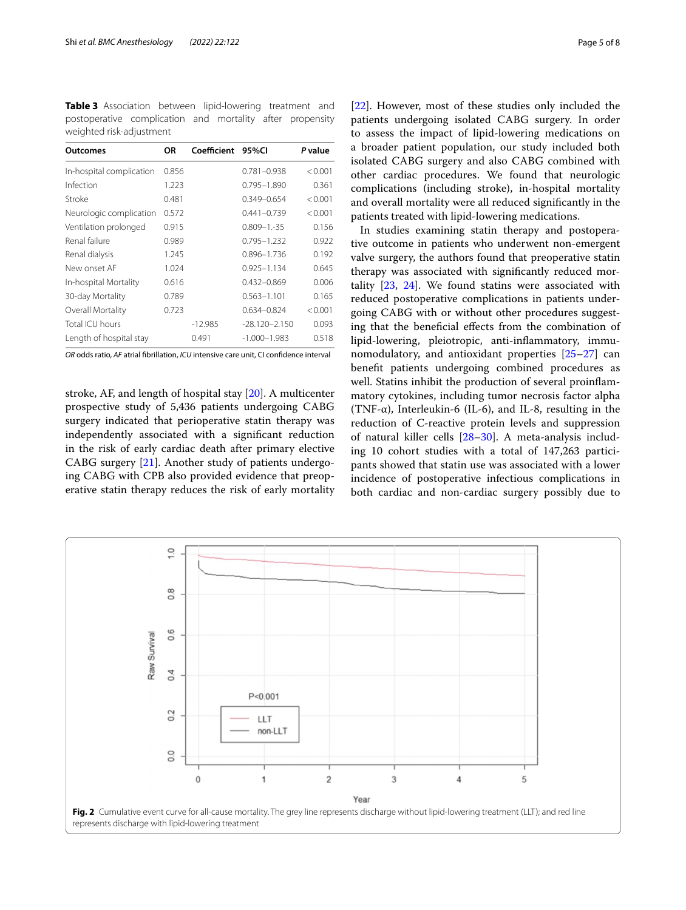<span id="page-6-0"></span>**Table 3** Association between lipid-lowering treatment and postoperative complication and mortality after propensity weighted risk-adjustment

| <b>Outcomes</b>          | ΟR    | Coefficient | 95%CI             | P value |
|--------------------------|-------|-------------|-------------------|---------|
| In-hospital complication | 0.856 |             | $0.781 - 0.938$   | < 0.001 |
| Infection                | 1.223 |             | $0.795 - 1.890$   | 0.361   |
| Stroke                   | 0.481 |             | $0.349 - 0.654$   | < 0.001 |
| Neurologic complication  | 0.572 |             | $0.441 - 0.739$   | < 0.001 |
| Ventilation prolonged    | 0.915 |             | $0.809 - 1.35$    | 0.156   |
| Renal failure            | 0.989 |             | $0.795 - 1.232$   | 0.922   |
| Renal dialysis           | 1.245 |             | 0.896-1.736       | 0.192   |
| New onset AF             | 1.024 |             | $0.925 - 1.134$   | 0.645   |
| In-hospital Mortality    | 0.616 |             | $0.432 - 0.869$   | 0.006   |
| 30-day Mortality         | 0.789 |             | $0.563 - 1.101$   | 0.165   |
| Overall Mortality        | 0.723 |             | 0.634-0.824       | < 0.001 |
| Total ICU hours          |       | $-12.985$   | $-28.120 - 2.150$ | 0.093   |
| Length of hospital stay  |       | 0.491       | $-1.000 - 1.983$  | 0.518   |

*OR* odds ratio, *AF* atrial fbrillation, *ICU* intensive care unit, CI confdence interval

stroke, AF, and length of hospital stay [[20\]](#page-9-4). A multicenter prospective study of 5,436 patients undergoing CABG surgery indicated that perioperative statin therapy was independently associated with a signifcant reduction in the risk of early cardiac death after primary elective CABG surgery [\[21](#page-9-5)]. Another study of patients undergoing CABG with CPB also provided evidence that preoperative statin therapy reduces the risk of early mortality [[22\]](#page-9-6). However, most of these studies only included the patients undergoing isolated CABG surgery. In order to assess the impact of lipid-lowering medications on a broader patient population, our study included both isolated CABG surgery and also CABG combined with other cardiac procedures. We found that neurologic complications (including stroke), in-hospital mortality and overall mortality were all reduced signifcantly in the patients treated with lipid-lowering medications.

In studies examining statin therapy and postoperative outcome in patients who underwent non-emergent valve surgery, the authors found that preoperative statin therapy was associated with signifcantly reduced mortality [\[23](#page-9-7), [24](#page-9-8)]. We found statins were associated with reduced postoperative complications in patients undergoing CABG with or without other procedures suggesting that the benefcial efects from the combination of lipid-lowering, pleiotropic, anti-infammatory, immunomodulatory, and antioxidant properties [[25–](#page-9-9)[27](#page-9-10)] can beneft patients undergoing combined procedures as well. Statins inhibit the production of several proinfammatory cytokines, including tumor necrosis factor alpha (TNF-α), Interleukin-6 (IL-6), and IL-8, resulting in the reduction of C-reactive protein levels and suppression of natural killer cells [[28–](#page-9-11)[30](#page-9-12)]. A meta-analysis including 10 cohort studies with a total of 147,263 participants showed that statin use was associated with a lower incidence of postoperative infectious complications in both cardiac and non-cardiac surgery possibly due to

<span id="page-6-1"></span>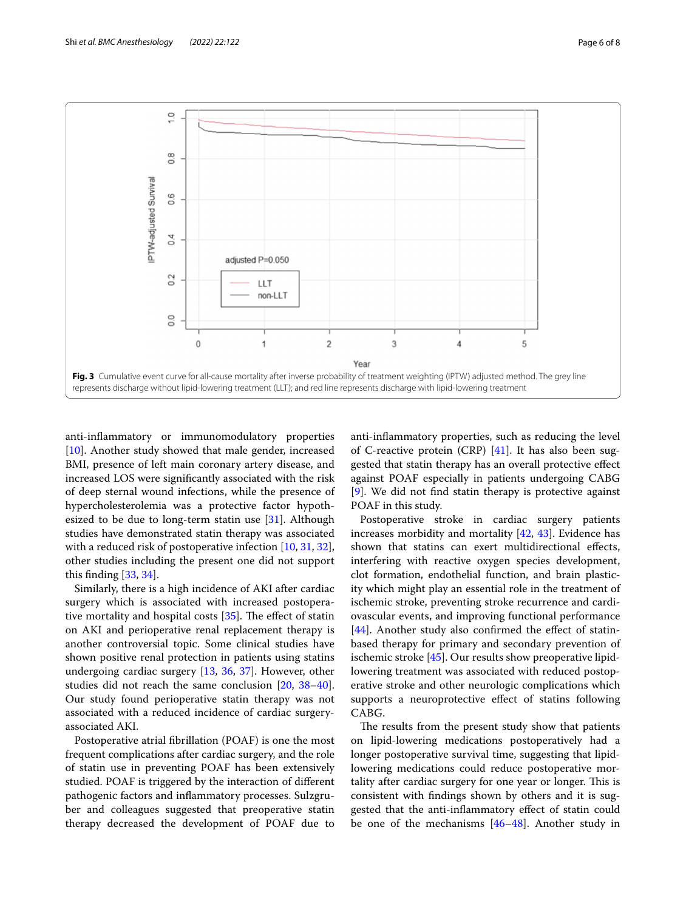

<span id="page-7-0"></span>anti-infammatory or immunomodulatory properties [[10\]](#page-8-8). Another study showed that male gender, increased BMI, presence of left main coronary artery disease, and increased LOS were signifcantly associated with the risk of deep sternal wound infections, while the presence of hypercholesterolemia was a protective factor hypothesized to be due to long-term statin use  $[31]$ . Although studies have demonstrated statin therapy was associated with a reduced risk of postoperative infection [[10,](#page-8-8) [31,](#page-9-13) [32](#page-9-14)], other studies including the present one did not support this fnding [\[33](#page-9-15), [34\]](#page-9-16).

Similarly, there is a high incidence of AKI after cardiac surgery which is associated with increased postoperative mortality and hospital costs  $[35]$  $[35]$ . The effect of statin on AKI and perioperative renal replacement therapy is another controversial topic. Some clinical studies have shown positive renal protection in patients using statins undergoing cardiac surgery [\[13,](#page-8-6) [36](#page-9-18), [37\]](#page-9-19). However, other studies did not reach the same conclusion [[20](#page-9-4), [38](#page-9-20)[–40](#page-9-21)]. Our study found perioperative statin therapy was not associated with a reduced incidence of cardiac surgeryassociated AKI.

Postoperative atrial fbrillation (POAF) is one the most frequent complications after cardiac surgery, and the role of statin use in preventing POAF has been extensively studied. POAF is triggered by the interaction of diferent pathogenic factors and infammatory processes. Sulzgruber and colleagues suggested that preoperative statin therapy decreased the development of POAF due to anti-infammatory properties, such as reducing the level of C-reactive protein (CRP) [[41](#page-9-22)]. It has also been suggested that statin therapy has an overall protective efect against POAF especially in patients undergoing CABG [[9\]](#page-8-9). We did not fnd statin therapy is protective against POAF in this study.

Postoperative stroke in cardiac surgery patients increases morbidity and mortality  $[42, 43]$  $[42, 43]$  $[42, 43]$  $[42, 43]$ . Evidence has shown that statins can exert multidirectional efects, interfering with reactive oxygen species development, clot formation, endothelial function, and brain plasticity which might play an essential role in the treatment of ischemic stroke, preventing stroke recurrence and cardiovascular events, and improving functional performance  $[44]$  $[44]$ . Another study also confirmed the effect of statinbased therapy for primary and secondary prevention of ischemic stroke [[45](#page-9-26)]. Our results show preoperative lipidlowering treatment was associated with reduced postoperative stroke and other neurologic complications which supports a neuroprotective efect of statins following CABG.

The results from the present study show that patients on lipid-lowering medications postoperatively had a longer postoperative survival time, suggesting that lipidlowering medications could reduce postoperative mortality after cardiac surgery for one year or longer. This is consistent with fndings shown by others and it is suggested that the anti-infammatory efect of statin could be one of the mechanisms [[46](#page-9-27)[–48](#page-9-28)]. Another study in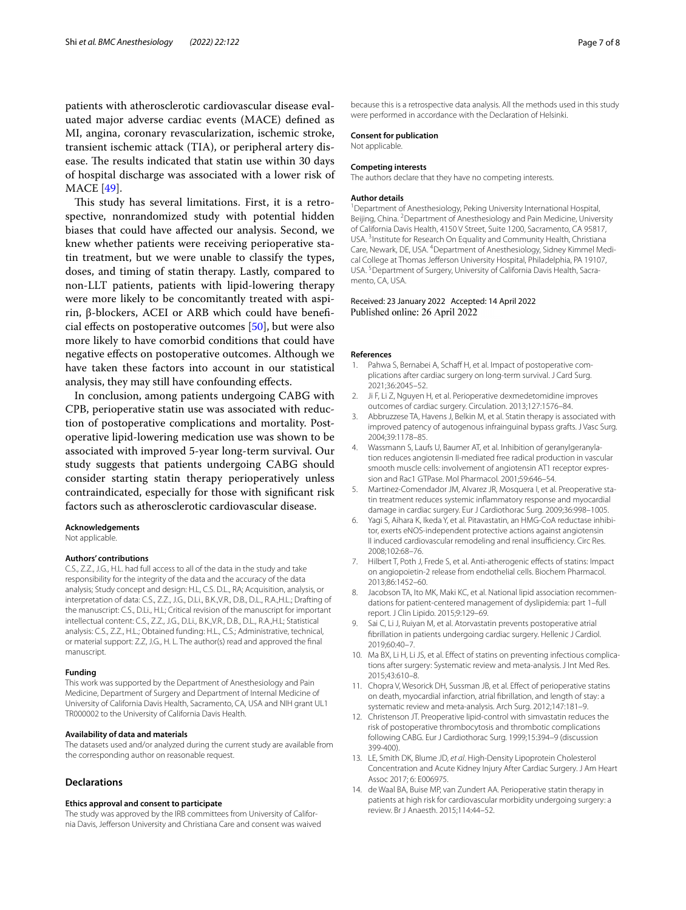patients with atherosclerotic cardiovascular disease evaluated major adverse cardiac events (MACE) defned as MI, angina, coronary revascularization, ischemic stroke, transient ischemic attack (TIA), or peripheral artery disease. The results indicated that statin use within 30 days of hospital discharge was associated with a lower risk of MACE [[49\]](#page-9-29).

This study has several limitations. First, it is a retrospective, nonrandomized study with potential hidden biases that could have afected our analysis. Second, we knew whether patients were receiving perioperative statin treatment, but we were unable to classify the types, doses, and timing of statin therapy. Lastly, compared to non-LLT patients, patients with lipid-lowering therapy were more likely to be concomitantly treated with aspirin, β-blockers, ACEI or ARB which could have benefcial efects on postoperative outcomes [[50](#page-9-30)], but were also more likely to have comorbid conditions that could have negative efects on postoperative outcomes. Although we have taken these factors into account in our statistical analysis, they may still have confounding efects.

In conclusion, among patients undergoing CABG with CPB, perioperative statin use was associated with reduction of postoperative complications and mortality. Postoperative lipid-lowering medication use was shown to be associated with improved 5-year long-term survival. Our study suggests that patients undergoing CABG should consider starting statin therapy perioperatively unless contraindicated, especially for those with signifcant risk factors such as atherosclerotic cardiovascular disease.

#### **Acknowledgements**

Not applicable.

#### **Authors' contributions**

C.S., Z.Z., J.G., H.L. had full access to all of the data in the study and take responsibility for the integrity of the data and the accuracy of the data analysis; Study concept and design: H.L, C.S. D.L., RA; Acquisition, analysis, or interpretation of data: C.S., Z.Z., J.G., D.Li., B.K.,V.R., D.B., D.L., R.A.,H.L.; Drafting of the manuscript: C.S., D.Li., H.L; Critical revision of the manuscript for important intellectual content: C.S., Z.Z., J.G., D.Li., B.K.,V.R., D.B., D.L., R.A.,H.L; Statistical analysis: C.S., Z.Z., H.L.; Obtained funding: H.L., C.S.; Administrative, technical, or material support: Z.Z, J.G., H. L. The author(s) read and approved the fnal manuscript.

#### **Funding**

This work was supported by the Department of Anesthesiology and Pain Medicine, Department of Surgery and Department of Internal Medicine of University of California Davis Health, Sacramento, CA, USA and NIH grant UL1 TR000002 to the University of California Davis Health.

#### **Availability of data and materials**

The datasets used and/or analyzed during the current study are available from the corresponding author on reasonable request.

#### **Declarations**

#### **Ethics approval and consent to participate**

The study was approved by the IRB committees from University of California Davis, Jeferson University and Christiana Care and consent was waived because this is a retrospective data analysis. All the methods used in this study were performed in accordance with the Declaration of Helsinki.

### **Consent for publication**

Not applicable.

#### **Competing interests**

The authors declare that they have no competing interests.

#### **Author details**

<sup>1</sup> Department of Anesthesiology, Peking University International Hospital, Beijing, China. <sup>2</sup> Department of Anesthesiology and Pain Medicine, University of California Davis Health, 4150 V Street, Suite 1200, Sacramento, CA 95817, USA.<sup>3</sup> Institute for Research On Equality and Community Health, Christiana Care, Newark, DE, USA. <sup>4</sup> Department of Anesthesiology, Sidney Kimmel Medical College at Thomas Jefferson University Hospital, Philadelphia, PA 19107, USA.<sup>5</sup> Department of Surgery, University of California Davis Health, Sacramento, CA, USA.

#### Received: 23 January 2022 Accepted: 14 April 2022 Published online: 26 April 2022

#### **References**

- <span id="page-8-0"></span>1. Pahwa S, Bernabei A, Schaff H, et al. Impact of postoperative complications after cardiac surgery on long-term survival. J Card Surg. 2021;36:2045–52.
- <span id="page-8-1"></span>2. Ji F, Li Z, Nguyen H, et al. Perioperative dexmedetomidine improves outcomes of cardiac surgery. Circulation. 2013;127:1576–84.
- <span id="page-8-2"></span>3. Abbruzzese TA, Havens J, Belkin M, et al. Statin therapy is associated with improved patency of autogenous infrainguinal bypass grafts. J Vasc Surg. 2004;39:1178–85.
- <span id="page-8-3"></span>4. Wassmann S, Laufs U, Baumer AT, et al. Inhibition of geranylgeranylation reduces angiotensin II-mediated free radical production in vascular smooth muscle cells: involvement of angiotensin AT1 receptor expression and Rac1 GTPase. Mol Pharmacol. 2001;59:646–54.
- 5. Martinez-Comendador JM, Alvarez JR, Mosquera I, et al. Preoperative statin treatment reduces systemic infammatory response and myocardial damage in cardiac surgery. Eur J Cardiothorac Surg. 2009;36:998–1005.
- 6. Yagi S, Aihara K, Ikeda Y, et al. Pitavastatin, an HMG-CoA reductase inhibitor, exerts eNOS-independent protective actions against angiotensin II induced cardiovascular remodeling and renal insufficiency. Circ Res. 2008;102:68–76.
- <span id="page-8-4"></span>7. Hilbert T, Poth J, Frede S, et al. Anti-atherogenic efects of statins: Impact on angiopoietin-2 release from endothelial cells. Biochem Pharmacol. 2013;86:1452–60.
- <span id="page-8-5"></span>8. Jacobson TA, Ito MK, Maki KC, et al. National lipid association recommendations for patient-centered management of dyslipidemia: part 1–full report. J Clin Lipido. 2015;9:129–69.
- <span id="page-8-9"></span>Sai C, Li J, Ruiyan M, et al. Atorvastatin prevents postoperative atrial fbrillation in patients undergoing cardiac surgery. Hellenic J Cardiol. 2019;60:40–7.
- <span id="page-8-8"></span>10. Ma BX, Li H, Li JS, et al. Efect of statins on preventing infectious complications after surgery: Systematic review and meta-analysis. J Int Med Res. 2015;43:610–8.
- 11. Chopra V, Wesorick DH, Sussman JB, et al. Efect of perioperative statins on death, myocardial infarction, atrial fbrillation, and length of stay: a systematic review and meta-analysis. Arch Surg. 2012;147:181–9.
- 12. Christenson JT. Preoperative lipid-control with simvastatin reduces the risk of postoperative thrombocytosis and thrombotic complications following CABG. Eur J Cardiothorac Surg. 1999;15:394–9 (discussion 399-400).
- <span id="page-8-6"></span>13. LE, Smith DK, Blume JD, *et al*. High-Density Lipoprotein Cholesterol Concentration and Acute Kidney Injury After Cardiac Surgery. J Am Heart Assoc 2017; 6: E006975.
- <span id="page-8-7"></span>14. de Waal BA, Buise MP, van Zundert AA. Perioperative statin therapy in patients at high risk for cardiovascular morbidity undergoing surgery: a review. Br J Anaesth. 2015;114:44–52.